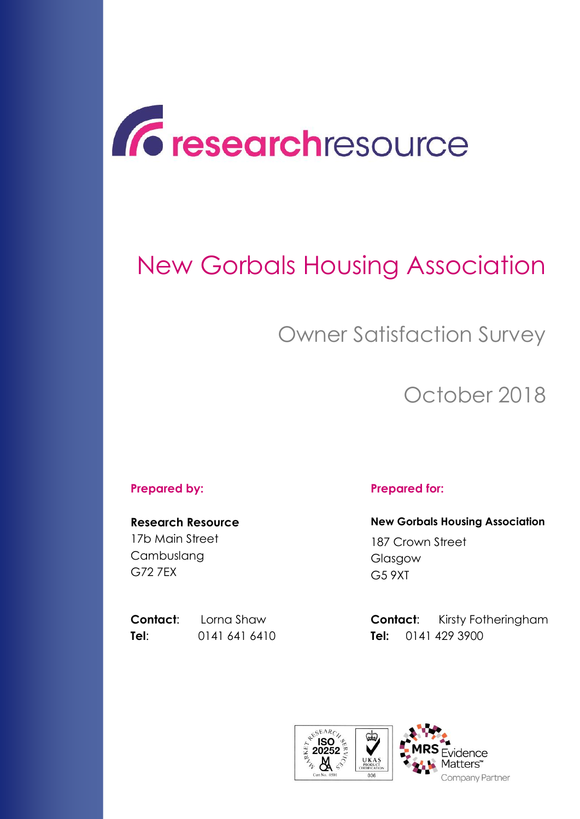

# New Gorbals Housing Association

# Owner Satisfaction Survey

# October 2018

**Research Resource** 17b Main Street Cambuslang G72 7EX

**Tel**: 0141 641 6410 **Tel:** 0141 429 3900

### **Prepared by: Prepared for:**

**New Gorbals Housing Association** 187 Crown Street Glasgow G5 9XT

**Contact:** Lorna Shaw **Contact:** Kirsty Fotheringham

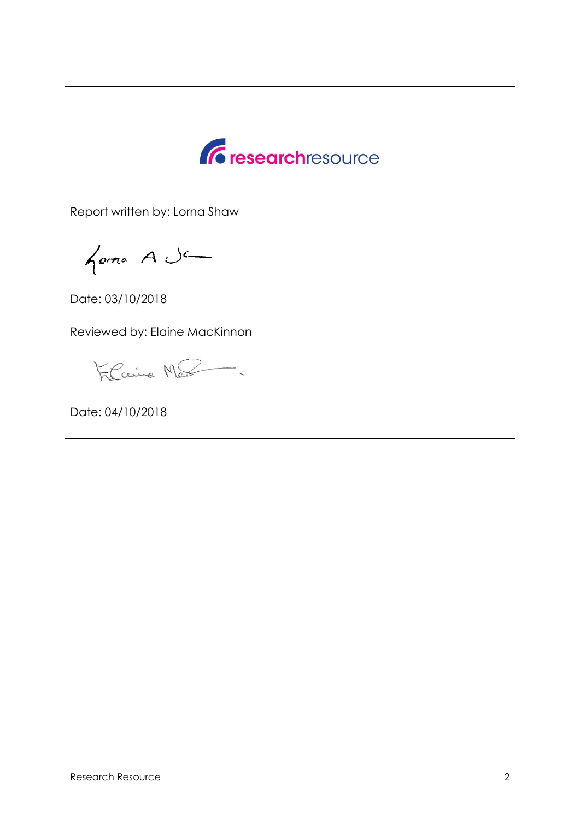

Report written by: Lorna Shaw

forma A Je

Date: 03/10/2018

Reviewed by: Elaine MacKinnon

Filcaire Me

Date: 04/10/2018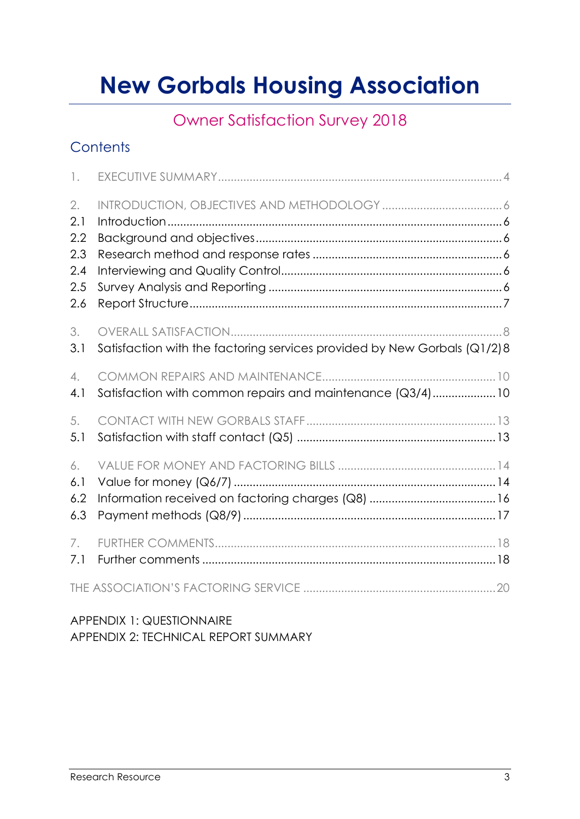# **New Gorbals Housing Association**

### Owner Satisfaction Survey 2018

### **Contents**

| $\mathbb{I}$ .                               |                                                                          |  |
|----------------------------------------------|--------------------------------------------------------------------------|--|
| 2.<br>2.1<br>2.2<br>2.3<br>2.4<br>2.5<br>2.6 |                                                                          |  |
| 3.<br>3.1                                    | Satisfaction with the factoring services provided by New Gorbals (Q1/2)8 |  |
| $\overline{4}$ .<br>4.1                      | Satisfaction with common repairs and maintenance (Q3/4) 10               |  |
| 5.<br>5.1                                    |                                                                          |  |
| 6.<br>6.1<br>6.2<br>6.3                      |                                                                          |  |
| 7.<br>7.1                                    |                                                                          |  |
|                                              |                                                                          |  |

### APPENDIX 1: QUESTIONNAIRE APPENDIX 2: TECHNICAL REPORT SUMMARY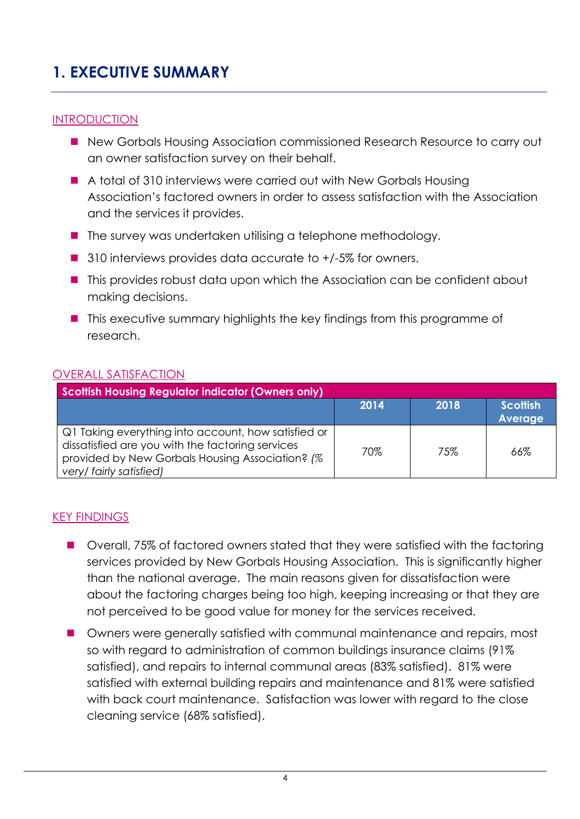### <span id="page-3-0"></span>**1. EXECUTIVE SUMMARY**

### **INTRODUCTION**

- New Gorbals Housing Association commissioned Research Resource to carry out an owner satisfaction survey on their behalf.
- A total of 310 interviews were carried out with New Gorbals Housing Association's factored owners in order to assess satisfaction with the Association and the services it provides.
- $\blacksquare$  The survey was undertaken utilising a telephone methodology.
- 310 interviews provides data accurate to +/-5% for owners.
- This provides robust data upon which the Association can be confident about making decisions.
- This executive summary highlights the key findings from this programme of research.

### OVERALL SATISFACTION

| Scottish Housing Regulator indicator (Owners only)                                                                                                                                     |      |      |                                   |  |  |
|----------------------------------------------------------------------------------------------------------------------------------------------------------------------------------------|------|------|-----------------------------------|--|--|
|                                                                                                                                                                                        | 2014 | 2018 | <b>Scottish</b><br><b>Average</b> |  |  |
| Q1 Taking everything into account, how satisfied or<br>dissatisfied are you with the factoring services<br>provided by New Gorbals Housing Association? (%)<br>very/ fairly satisfied) | 70%  | 75%  | 66%                               |  |  |

#### KEY FINDINGS

- Overall, 75% of factored owners stated that they were satisfied with the factoring services provided by New Gorbals Housing Association. This is significantly higher than the national average. The main reasons given for dissatisfaction were about the factoring charges being too high, keeping increasing or that they are not perceived to be good value for money for the services received.
- Owners were generally satisfied with communal maintenance and repairs, most so with regard to administration of common buildings insurance claims (91% satisfied), and repairs to internal communal areas (83% satisfied). 81% were satisfied with external building repairs and maintenance and 81% were satisfied with back court maintenance. Satisfaction was lower with regard to the close cleaning service (68% satisfied).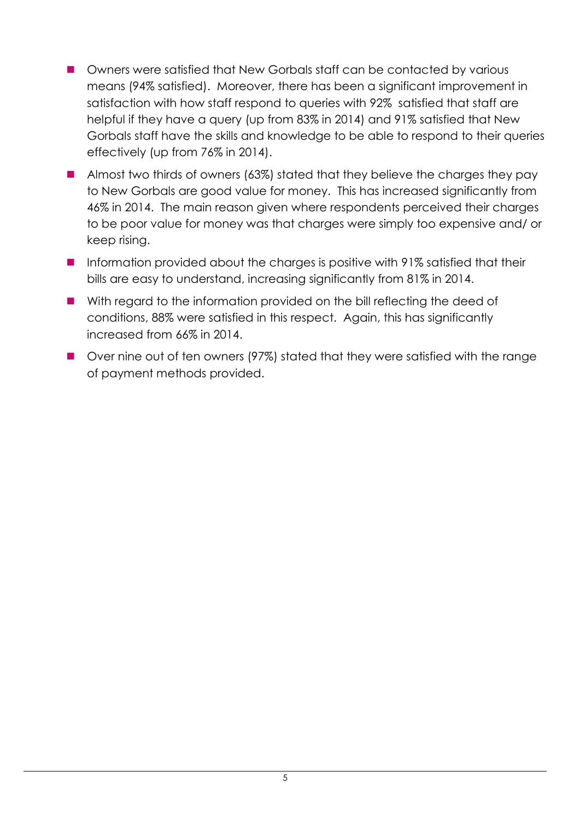- **Demographs Owners were satisfied that New Gorbals staff can be contacted by various** means (94% satisfied). Moreover, there has been a significant improvement in satisfaction with how staff respond to queries with 92% satisfied that staff are helpful if they have a query (up from 83% in 2014) and 91% satisfied that New Gorbals staff have the skills and knowledge to be able to respond to their queries effectively (up from 76% in 2014).
- Almost two thirds of owners (63%) stated that they believe the charges they pay to New Gorbals are good value for money. This has increased significantly from 46% in 2014. The main reason given where respondents perceived their charges to be poor value for money was that charges were simply too expensive and/ or keep rising.
- Information provided about the charges is positive with 91% satisfied that their bills are easy to understand, increasing significantly from 81% in 2014.
- With regard to the information provided on the bill reflecting the deed of conditions, 88% were satisfied in this respect. Again, this has significantly increased from 66% in 2014.
- Over nine out of ten owners (97%) stated that they were satisfied with the range of payment methods provided.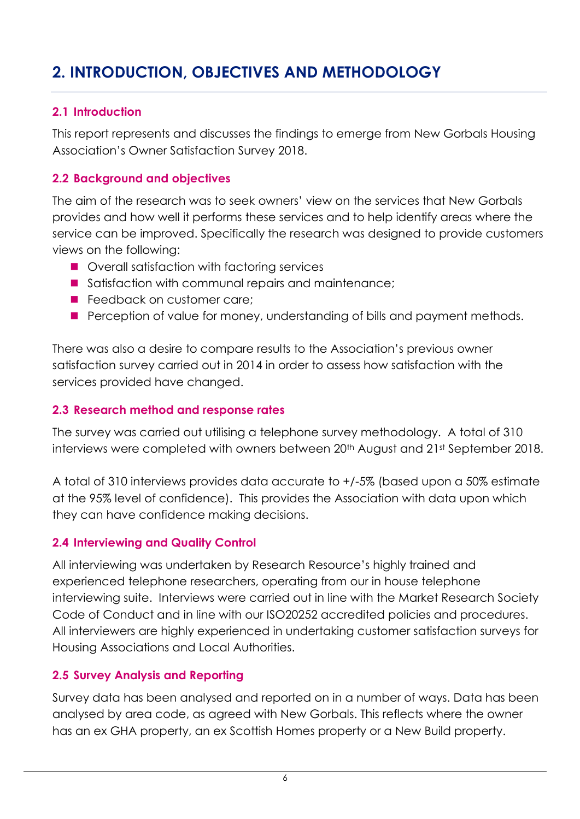### <span id="page-5-0"></span>**2. INTRODUCTION, OBJECTIVES AND METHODOLOGY**

### <span id="page-5-1"></span>**2.1 Introduction**

This report represents and discusses the findings to emerge from New Gorbals Housing Association's Owner Satisfaction Survey 2018.

### <span id="page-5-2"></span>**2.2 Background and objectives**

The aim of the research was to seek owners' view on the services that New Gorbals provides and how well it performs these services and to help identify areas where the service can be improved. Specifically the research was designed to provide customers views on the following:

- Overall satisfaction with factoring services
- Satisfaction with communal repairs and maintenance;
- **Feedback on customer care;**
- **Perception of value for money, understanding of bills and payment methods.**

There was also a desire to compare results to the Association's previous owner satisfaction survey carried out in 2014 in order to assess how satisfaction with the services provided have changed.

### <span id="page-5-3"></span>**2.3 Research method and response rates**

The survey was carried out utilising a telephone survey methodology. A total of 310 interviews were completed with owners between 20<sup>th</sup> August and 21st September 2018.

A total of 310 interviews provides data accurate to +/-5% (based upon a 50% estimate at the 95% level of confidence). This provides the Association with data upon which they can have confidence making decisions.

### <span id="page-5-4"></span>**2.4 Interviewing and Quality Control**

All interviewing was undertaken by Research Resource's highly trained and experienced telephone researchers, operating from our in house telephone interviewing suite. Interviews were carried out in line with the Market Research Society Code of Conduct and in line with our ISO20252 accredited policies and procedures. All interviewers are highly experienced in undertaking customer satisfaction surveys for Housing Associations and Local Authorities.

### <span id="page-5-5"></span>**2.5 Survey Analysis and Reporting**

Survey data has been analysed and reported on in a number of ways. Data has been analysed by area code, as agreed with New Gorbals. This reflects where the owner has an ex GHA property, an ex Scottish Homes property or a New Build property.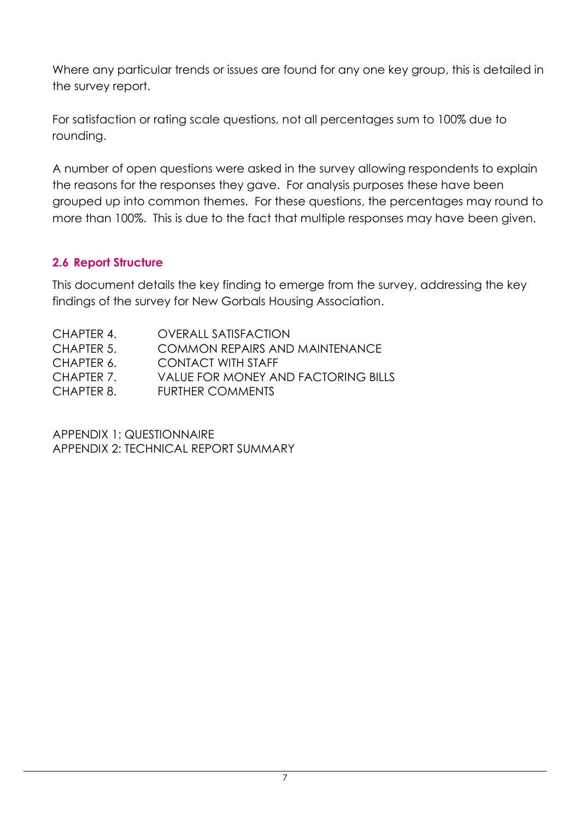Where any particular trends or issues are found for any one key group, this is detailed in the survey report.

For satisfaction or rating scale questions, not all percentages sum to 100% due to rounding.

A number of open questions were asked in the survey allowing respondents to explain the reasons for the responses they gave. For analysis purposes these have been grouped up into common themes. For these questions, the percentages may round to more than 100%. This is due to the fact that multiple responses may have been given.

### <span id="page-6-0"></span>**2.6 Report Structure**

This document details the key finding to emerge from the survey, addressing the key findings of the survey for New Gorbals Housing Association.

| CHAPTER 4. | <b>OVERALL SATISFACTION</b>                |
|------------|--------------------------------------------|
| CHAPTER 5. | COMMON REPAIRS AND MAINTENANCE             |
| CHAPTER 6. | <b>CONTACT WITH STAFF</b>                  |
| CHAPTER 7. | <b>VALUE FOR MONEY AND FACTORING BILLS</b> |
| CHAPTER 8. | <b>FURTHER COMMENTS</b>                    |
|            |                                            |

APPENDIX 1: QUESTIONNAIRE APPENDIX 2: TECHNICAL REPORT SUMMARY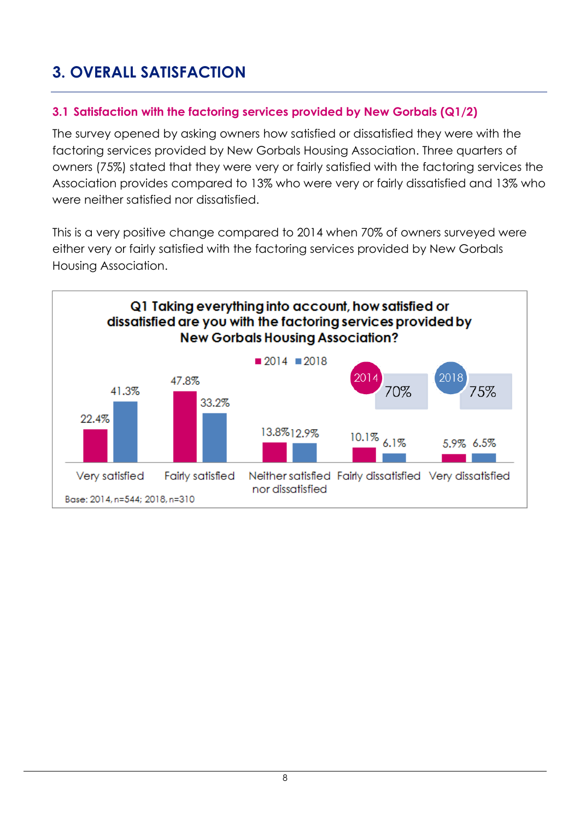### <span id="page-7-0"></span>**3. OVERALL SATISFACTION**

### <span id="page-7-1"></span>**3.1 Satisfaction with the factoring services provided by New Gorbals (Q1/2)**

The survey opened by asking owners how satisfied or dissatisfied they were with the factoring services provided by New Gorbals Housing Association. Three quarters of owners (75%) stated that they were very or fairly satisfied with the factoring services the Association provides compared to 13% who were very or fairly dissatisfied and 13% who were neither satisfied nor dissatisfied.

This is a very positive change compared to 2014 when 70% of owners surveyed were either very or fairly satisfied with the factoring services provided by New Gorbals Housing Association.

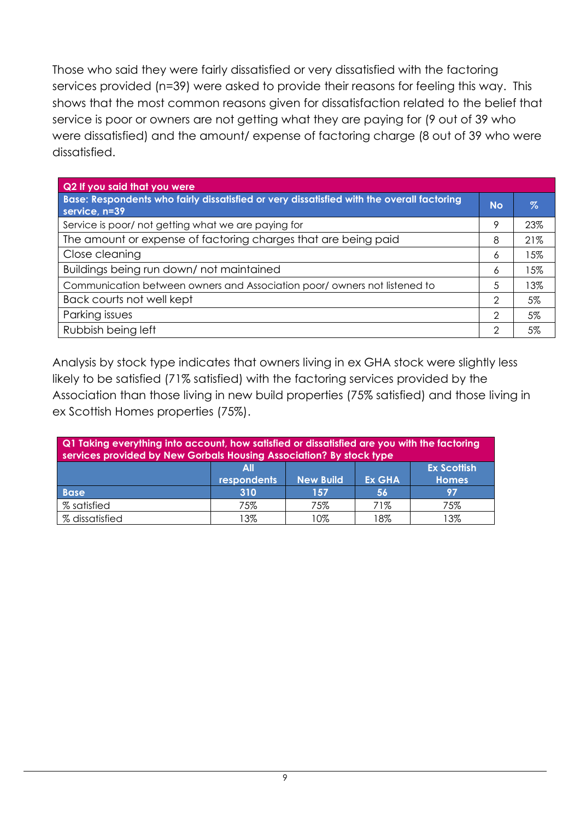Those who said they were fairly dissatisfied or very dissatisfied with the factoring services provided (n=39) were asked to provide their reasons for feeling this way. This shows that the most common reasons given for dissatisfaction related to the belief that service is poor or owners are not getting what they are paying for (9 out of 39 who were dissatisfied) and the amount/ expense of factoring charge (8 out of 39 who were dissatisfied.

| Q2 If you said that you were                                                                               |               |      |
|------------------------------------------------------------------------------------------------------------|---------------|------|
| Base: Respondents who fairly dissatisfied or very dissatisfied with the overall factoring<br>service, n=39 | <b>No</b>     | $\%$ |
| Service is poor/ not getting what we are paying for                                                        | 9             | 23%  |
| The amount or expense of factoring charges that are being paid                                             | 8             | 21%  |
| Close cleaning                                                                                             | 6             | 15%  |
| Buildings being run down/not maintained                                                                    | 6             | 15%  |
| Communication between owners and Association poor/owners not listened to                                   | 5             | 13%  |
| Back courts not well kept                                                                                  | $\mathcal{D}$ | 5%   |
| Parking issues                                                                                             | $\mathcal{D}$ | 5%   |
| Rubbish being left                                                                                         | 2             | 5%   |

Analysis by stock type indicates that owners living in ex GHA stock were slightly less likely to be satisfied (71% satisfied) with the factoring services provided by the Association than those living in new build properties (75% satisfied) and those living in ex Scottish Homes properties (75%).

| Q1 Taking everything into account, how satisfied or dissatisfied are you with the factoring<br>services provided by New Gorbals Housing Association? By stock type |     |     |     |     |  |  |
|--------------------------------------------------------------------------------------------------------------------------------------------------------------------|-----|-----|-----|-----|--|--|
| <b>Ex Scottish</b><br>All<br><b>respondents</b><br><b>New Build</b><br><b>Ex GHA</b><br><b>Homes</b>                                                               |     |     |     |     |  |  |
| 310<br><b>Base</b><br>56<br>157<br>97                                                                                                                              |     |     |     |     |  |  |
| % satisfied                                                                                                                                                        | 75% | 75% | 71% | 75% |  |  |
| % dissatisfied                                                                                                                                                     | 13% | 10% | 18% | 3%  |  |  |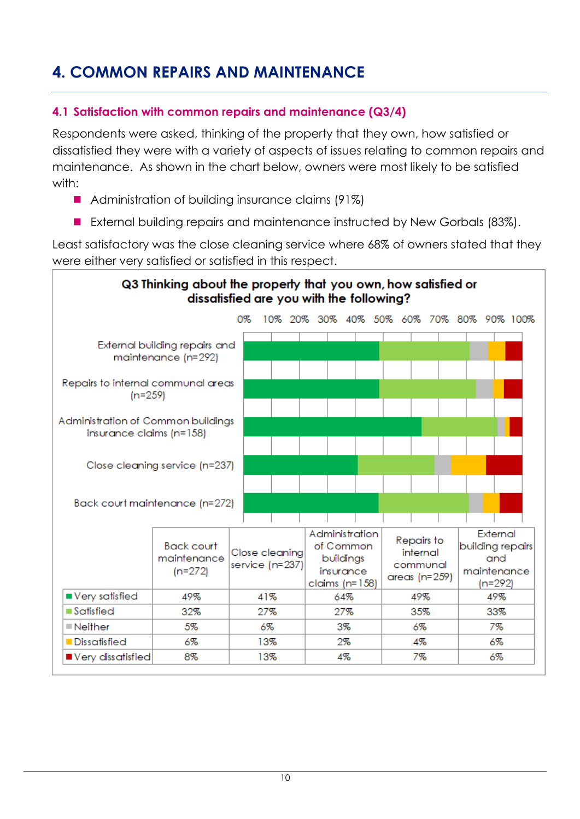### <span id="page-9-0"></span>**4. COMMON REPAIRS AND MAINTENANCE**

### <span id="page-9-1"></span>**4.1 Satisfaction with common repairs and maintenance (Q3/4)**

Respondents were asked, thinking of the property that they own, how satisfied or dissatisfied they were with a variety of aspects of issues relating to common repairs and maintenance. As shown in the chart below, owners were most likely to be satisfied with:

- Administration of building insurance claims (91%)
- External building repairs and maintenance instructed by New Gorbals (83%).

Least satisfactory was the close cleaning service where 68% of owners stated that they were either very satisfied or satisfied in this respect.

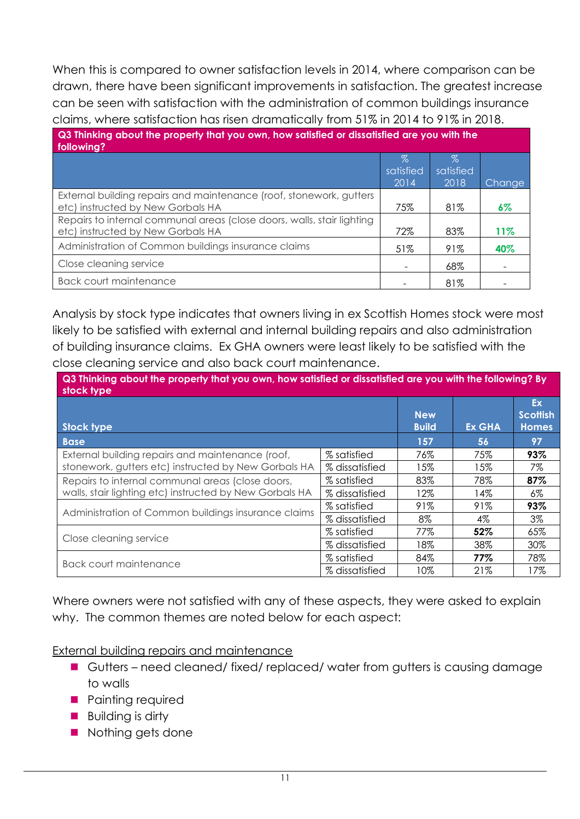When this is compared to owner satisfaction levels in 2014, where comparison can be drawn, there have been significant improvements in satisfaction. The greatest increase can be seen with satisfaction with the administration of common buildings insurance claims, where satisfaction has risen dramatically from 51% in 2014 to 91% in 2018.

| Q3 Thinking about the property that you own, how satisfied or dissatisfied are you with the<br>following?   |                   |                   |        |  |  |
|-------------------------------------------------------------------------------------------------------------|-------------------|-------------------|--------|--|--|
|                                                                                                             | $\%$<br>satisfied | $\%$<br>satisfied |        |  |  |
|                                                                                                             | 2014              | 2018              | Change |  |  |
| External building repairs and maintenance (roof, stonework, gutters<br>etc) instructed by New Gorbals HA    | 75%               | 81%               | 6%     |  |  |
| Repairs to internal communal areas (close doors, walls, stair lighting<br>etc) instructed by New Gorbals HA | 72%               | 83%               | 11%    |  |  |
| Administration of Common buildings insurance claims                                                         | 51%               | 91%               | 40%    |  |  |
| Close cleaning service                                                                                      |                   | 68%               |        |  |  |
| <b>Back court maintenance</b>                                                                               |                   | 81%               |        |  |  |

Analysis by stock type indicates that owners living in ex Scottish Homes stock were most likely to be satisfied with external and internal building repairs and also administration of building insurance claims. Ex GHA owners were least likely to be satisfied with the close cleaning service and also back court maintenance.

**Q3 Thinking about the property that you own, how satisfied or dissatisfied are you with the following? By stock type**

| 3106N17pc                                               |                |                                   |               |                                       |
|---------------------------------------------------------|----------------|-----------------------------------|---------------|---------------------------------------|
| <b>Stock type</b>                                       |                | <b>New</b><br><b>Build</b>        | <b>Ex GHA</b> | Ex<br><b>Scottish</b><br><b>Homes</b> |
| <b>Base</b>                                             |                | 157                               | 56            | 97                                    |
| External building repairs and maintenance (roof,        | % satisfied    | 76%                               | 75%           | 93%                                   |
| stonework, gutters etc) instructed by New Gorbals HA    | % dissatisfied | 15%                               | 15%           | 7%                                    |
| Repairs to internal communal areas (close doors,        | % satisfied    | 83%                               | 78%           | 87%                                   |
| walls, stair lighting etc) instructed by New Gorbals HA | % dissatisfied | 12%                               | 14%           | 6%                                    |
| Administration of Common buildings insurance claims     | % satisfied    | 91%                               | 91%           | 93%                                   |
|                                                         | % dissatisfied | $8\%$<br>77%<br>18%<br>84%<br>10% | 4%            | 3%                                    |
|                                                         | % satisfied    |                                   | 52%           | 65%                                   |
| Close cleaning service                                  | % dissatisfied |                                   | 38%           | 30%                                   |
|                                                         | % satisfied    |                                   | 77%           | 78%                                   |
| Back court maintenance                                  | % dissatisfied |                                   | 21%           | 17%                                   |

Where owners were not satisfied with any of these aspects, they were asked to explain why. The common themes are noted below for each aspect:

External building repairs and maintenance

- Gutters need cleaned/ fixed/ replaced/ water from gutters is causing damage to walls
- **Painting required**
- **Building is dirty**
- Nothing gets done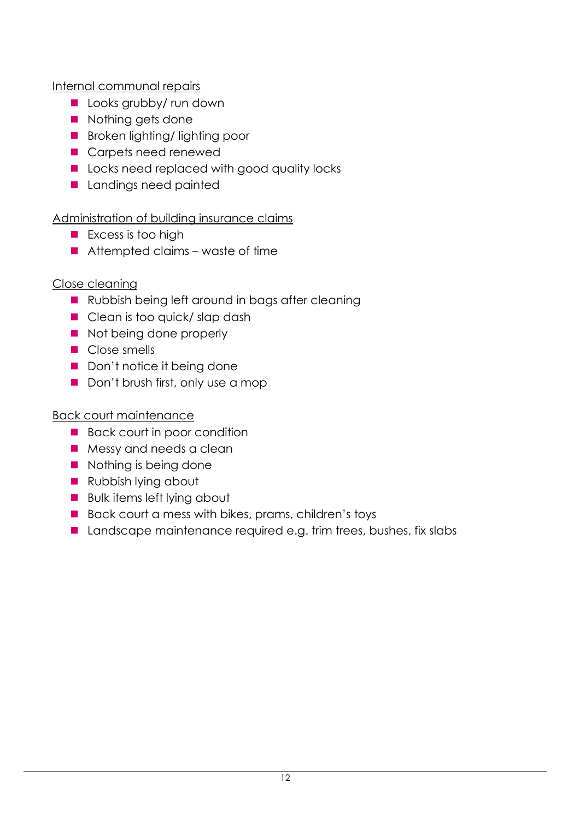Internal communal repairs

- Looks grubby/ run down
- Nothing gets done
- **Broken lighting/ lighting poor**
- Carpets need renewed
- Locks need replaced with good quality locks
- **Landings need painted**

### Administration of building insurance claims

- **Excess is too high**
- $\blacksquare$  Attempted claims waste of time

### Close cleaning

- Rubbish being left around in bags after cleaning
- Clean is too quick/ slap dash
- Not being done properly
- Close smells
- Don't notice it being done
- Don't brush first, only use a mop

### Back court maintenance

- Back court in poor condition
- Messy and needs a clean
- Nothing is being done
- Rubbish lying about
- Bulk items left lying about
- Back court a mess with bikes, prams, children's toys
- Landscape maintenance required e.g. trim trees, bushes, fix slabs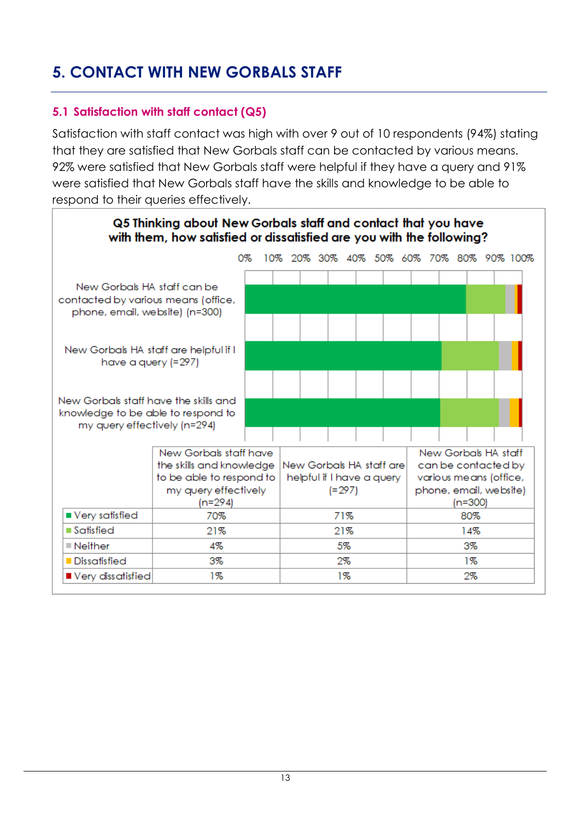### <span id="page-12-0"></span>**5. CONTACT WITH NEW GORBALS STAFF**

### <span id="page-12-1"></span>**5.1 Satisfaction with staff contact (Q5)**

Satisfaction with staff contact was high with over 9 out of 10 respondents (94%) stating that they are satisfied that New Gorbals staff can be contacted by various means. 92% were satisfied that New Gorbals staff were helpful if they have a query and 91% were satisfied that New Gorbals staff have the skills and knowledge to be able to respond to their queries effectively.

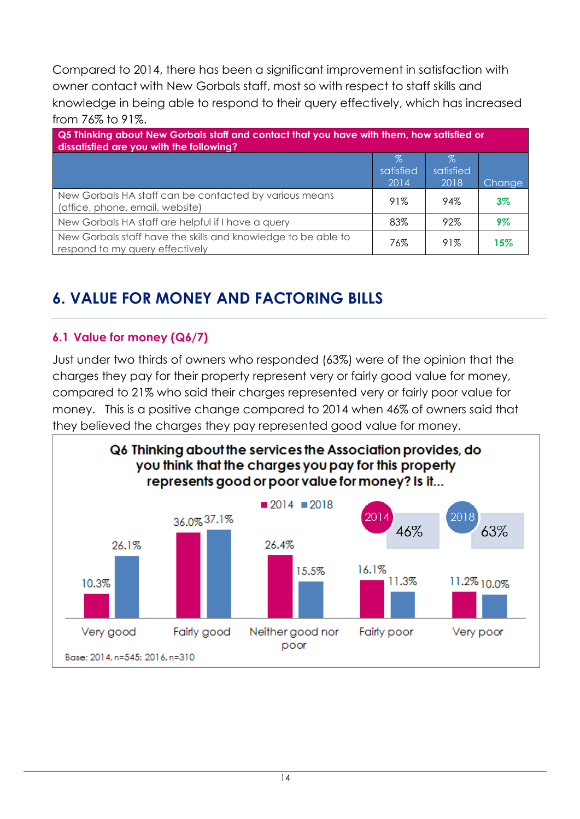Compared to 2014, there has been a significant improvement in satisfaction with owner contact with New Gorbals staff, most so with respect to staff skills and knowledge in being able to respond to their query effectively, which has increased from 76% to 91%.

| Q5 Thinking about New Gorbals staff and contact that you have with them, how satisfied or<br>dissatisfied are you with the following? |                           |                           |        |  |
|---------------------------------------------------------------------------------------------------------------------------------------|---------------------------|---------------------------|--------|--|
|                                                                                                                                       | $\%$<br>satisfied<br>2014 | $\%$<br>satisfied<br>2018 | Change |  |
| New Gorbals HA staff can be contacted by various means<br>(office, phone, email, website)                                             | 91%                       | 94%                       | $3\%$  |  |
| New Gorbals HA staff are helpful if I have a query                                                                                    | 83%                       | 92%                       | 9%     |  |
| New Gorbals staff have the skills and knowledge to be able to<br>respond to my query effectively                                      | 76%                       | 91%                       | 15%    |  |

### <span id="page-13-0"></span>**6. VALUE FOR MONEY AND FACTORING BILLS**

### <span id="page-13-1"></span>**6.1 Value for money (Q6/7)**

Just under two thirds of owners who responded (63%) were of the opinion that the charges they pay for their property represent very or fairly good value for money, compared to 21% who said their charges represented very or fairly poor value for money. This is a positive change compared to 2014 when 46% of owners said that they believed the charges they pay represented good value for money.

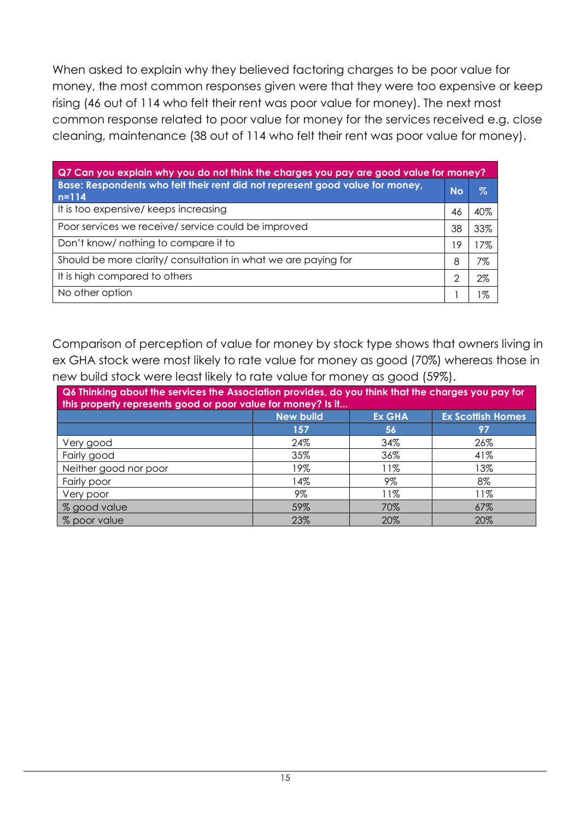When asked to explain why they believed factoring charges to be poor value for money, the most common responses given were that they were too expensive or keep rising (46 out of 114 who felt their rent was poor value for money). The next most common response related to poor value for money for the services received e.g. close cleaning, maintenance (38 out of 114 who felt their rent was poor value for money).

| Q7 Can you explain why you do not think the charges you pay are good value for money?      |           |     |  |  |
|--------------------------------------------------------------------------------------------|-----------|-----|--|--|
| Base: Respondents who felt their rent did not represent good value for money,<br>$n = 114$ | <b>No</b> | Z   |  |  |
| It is too expensive/ keeps increasing                                                      | 46        | 40% |  |  |
| Poor services we receive/ service could be improved                                        | 38        | 33% |  |  |
| Don't know/ nothing to compare it to                                                       | 19        | 17% |  |  |
| Should be more clarity/ consultation in what we are paying for                             | 8         | 7%  |  |  |
| It is high compared to others                                                              | 2         | 2%  |  |  |
| No other option                                                                            |           | %   |  |  |

Comparison of perception of value for money by stock type shows that owners living in ex GHA stock were most likely to rate value for money as good (70%) whereas those in new build stock were least likely to rate value for money as good (59%).

<span id="page-14-0"></span>

| Q6 Thinking about the services the Association provides, do you think that the charges you pay for<br>this property represents good or poor value for money? Is it |     |     |     |  |  |  |  |
|--------------------------------------------------------------------------------------------------------------------------------------------------------------------|-----|-----|-----|--|--|--|--|
| <b>Ex Scottish Homes</b><br><b>New build</b><br><b>Ex GHA</b>                                                                                                      |     |     |     |  |  |  |  |
|                                                                                                                                                                    | 157 | 56  | 97  |  |  |  |  |
| Very good                                                                                                                                                          | 24% | 34% | 26% |  |  |  |  |
| Fairly good                                                                                                                                                        | 35% | 36% | 41% |  |  |  |  |
| Neither good nor poor                                                                                                                                              | 19% | 11% | 13% |  |  |  |  |
| Fairly poor                                                                                                                                                        | 14% | 9%  | 8%  |  |  |  |  |
| 9%<br>11%<br>11%<br>Very poor                                                                                                                                      |     |     |     |  |  |  |  |
| % good value                                                                                                                                                       | 59% | 70% | 67% |  |  |  |  |
| % poor value                                                                                                                                                       | 23% | 20% | 20% |  |  |  |  |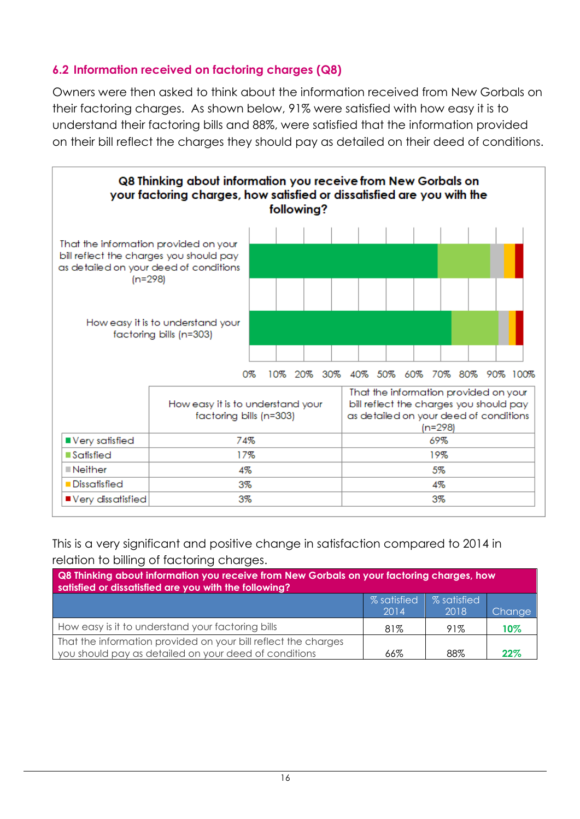### **6.2 Information received on factoring charges (Q8)**

Owners were then asked to think about the information received from New Gorbals on their factoring charges. As shown below, 91% were satisfied with how easy it is to understand their factoring bills and 88%, were satisfied that the information provided on their bill reflect the charges they should pay as detailed on their deed of conditions.



This is a very significant and positive change in satisfaction compared to 2014 in relation to billing of factoring charges.

| Q8 Thinking about information you receive from New Gorbals on your factoring charges, how<br>satisfied or dissatisfied are you with the following? |     |     |        |  |  |
|----------------------------------------------------------------------------------------------------------------------------------------------------|-----|-----|--------|--|--|
| <b>% satisfied</b><br>% satisfied<br>2014<br>2018<br>Change                                                                                        |     |     |        |  |  |
| How easy is it to understand your factoring bills                                                                                                  | 81% | 91% | $10\%$ |  |  |
| That the information provided on your bill reflect the charges<br>you should pay as detailed on your deed of conditions<br>88%<br>22%<br>66%       |     |     |        |  |  |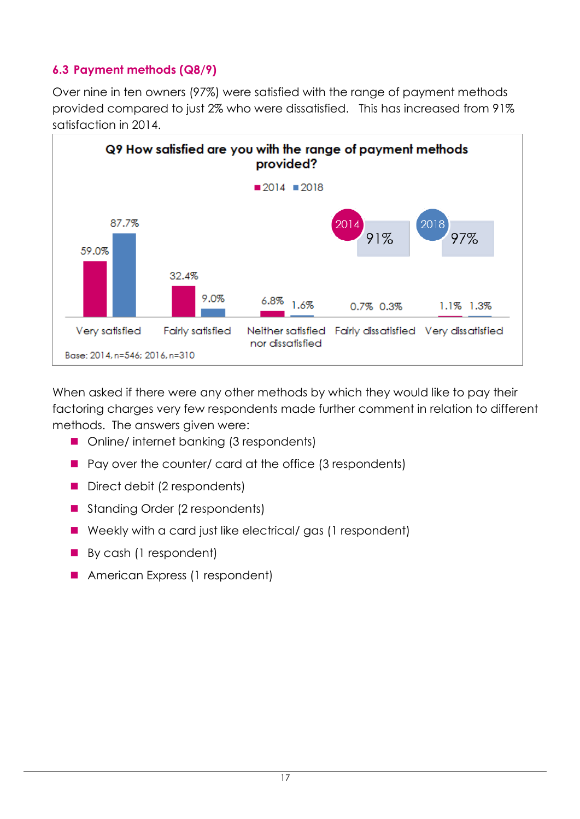### <span id="page-16-0"></span>**6.3 Payment methods (Q8/9)**

Over nine in ten owners (97%) were satisfied with the range of payment methods provided compared to just 2% who were dissatisfied. This has increased from 91% satisfaction in 2014.



When asked if there were any other methods by which they would like to pay their factoring charges very few respondents made further comment in relation to different methods. The answers given were:

- Online/ internet banking (3 respondents)
- $\blacksquare$  Pay over the counter/ card at the office (3 respondents)
- Direct debit (2 respondents)
- Standing Order (2 respondents)
- Weekly with a card just like electrical/ gas (1 respondent)
- By cash (1 respondent)
- <span id="page-16-1"></span>**American Express (1 respondent)**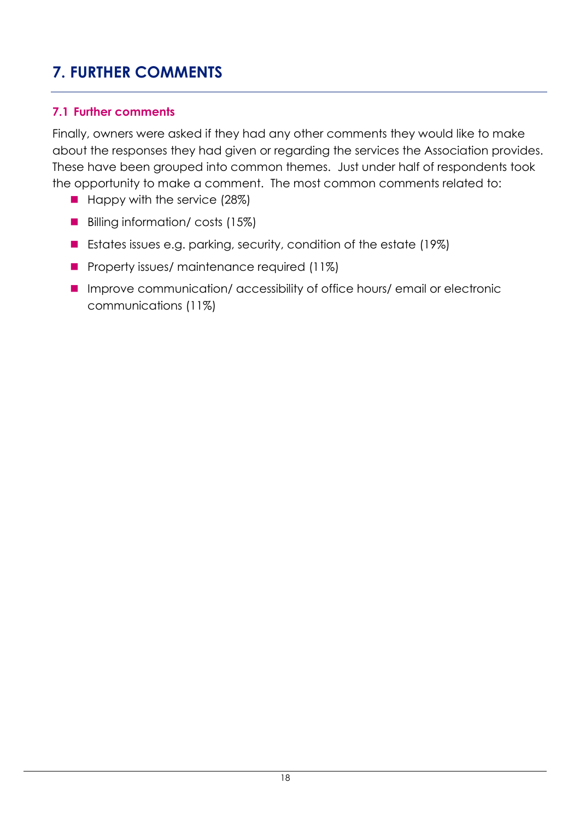### **7. FURTHER COMMENTS**

### <span id="page-17-0"></span>**7.1 Further comments**

Finally, owners were asked if they had any other comments they would like to make about the responses they had given or regarding the services the Association provides. These have been grouped into common themes. Just under half of respondents took the opportunity to make a comment. The most common comments related to:

- $\blacksquare$  Happy with the service (28%)
- Billing information/ costs (15%)
- Estates issues e.g. parking, security, condition of the estate (19%)
- **Property issues/ maintenance required (11%)**
- Improve communication/ accessibility of office hours/ email or electronic communications (11%)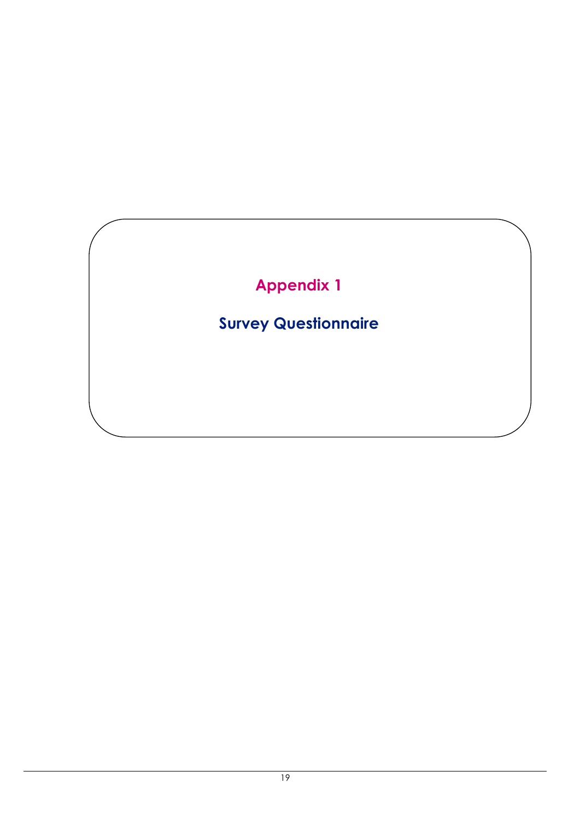## **Appendix 1**

### **Survey Questionnaire**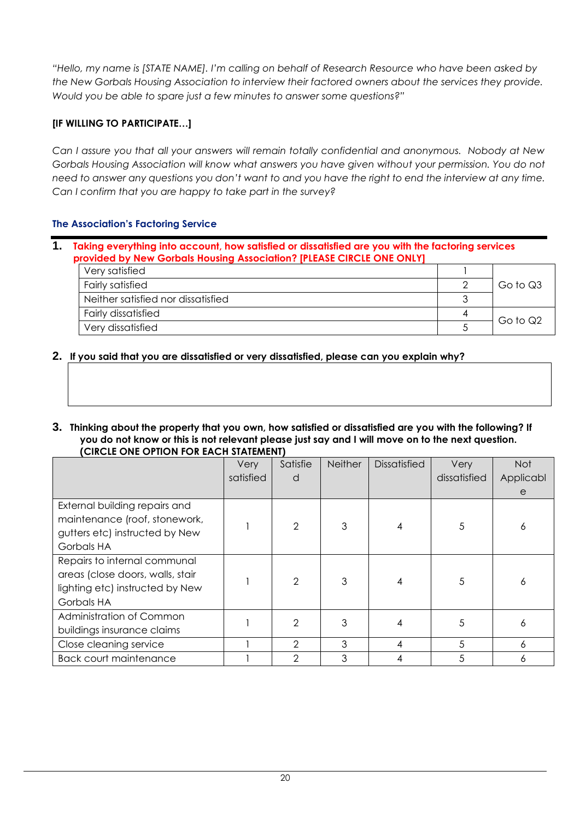*"Hello, my name is [STATE NAME]. I'm calling on behalf of Research Resource who have been asked by the New Gorbals Housing Association to interview their factored owners about the services they provide. Would you be able to spare just a few minutes to answer some questions?"*

#### **[IF WILLING TO PARTICIPATE…]**

*Can I assure you that all your answers will remain totally confidential and anonymous. Nobody at New Gorbals Housing Association will know what answers you have given without your permission. You do not need to answer any questions you don't want to and you have the right to end the interview at any time. Can I confirm that you are happy to take part in the survey?*

#### <span id="page-19-0"></span>**The Association's Factoring Service**

| Taking everything into account, how satisfied or dissatisfied are you with the factoring services<br>provided by New Gorbals Housing Association? [PLEASE CIRCLE ONE ONLY] |  |          |  |  |
|----------------------------------------------------------------------------------------------------------------------------------------------------------------------------|--|----------|--|--|
| Very satisfied                                                                                                                                                             |  |          |  |  |
| <b>Fairly satisfied</b>                                                                                                                                                    |  | Go to Q3 |  |  |
| Neither satisfied nor dissatisfied                                                                                                                                         |  |          |  |  |

Very dissatisfied Go to Q2

#### **2. If you said that you are dissatisfied or very dissatisfied, please can you explain why?**

Fairly dissatisfied 4

**3. Thinking about the property that you own, how satisfied or dissatisfied are you with the following? If you do not know or this is not relevant please just say and I will move on to the next question. (CIRCLE ONE OPTION FOR EACH STATEMENT)**

|                                  | Very      | Satisfie | <b>Neither</b> | <b>Dissatisfied</b> | Very         | <b>Not</b> |
|----------------------------------|-----------|----------|----------------|---------------------|--------------|------------|
|                                  | satisfied | d        |                |                     | dissatisfied | Applicabl  |
|                                  |           |          |                |                     |              | e          |
| External building repairs and    |           |          |                |                     |              |            |
| maintenance (roof, stonework,    |           | 2        | 3              |                     | 5            |            |
| gutters etc) instructed by New   |           |          |                |                     |              | 6          |
| Gorbals HA                       |           |          |                |                     |              |            |
| Repairs to internal communal     |           |          |                |                     |              |            |
| areas (close doors, walls, stair |           | 2        |                |                     | 5            |            |
| lighting etc) instructed by New  |           |          |                |                     |              | Ô          |
| Gorbals HA                       |           |          |                |                     |              |            |
| Administration of Common         |           | 2        | 3              |                     | 5            | 6          |
| buildings insurance claims       |           |          |                |                     |              |            |
| Close cleaning service           |           | 2        | 3              | 4                   | 5            | 6          |
| <b>Back court maintenance</b>    |           | 2        | 3              |                     | 5            | 6          |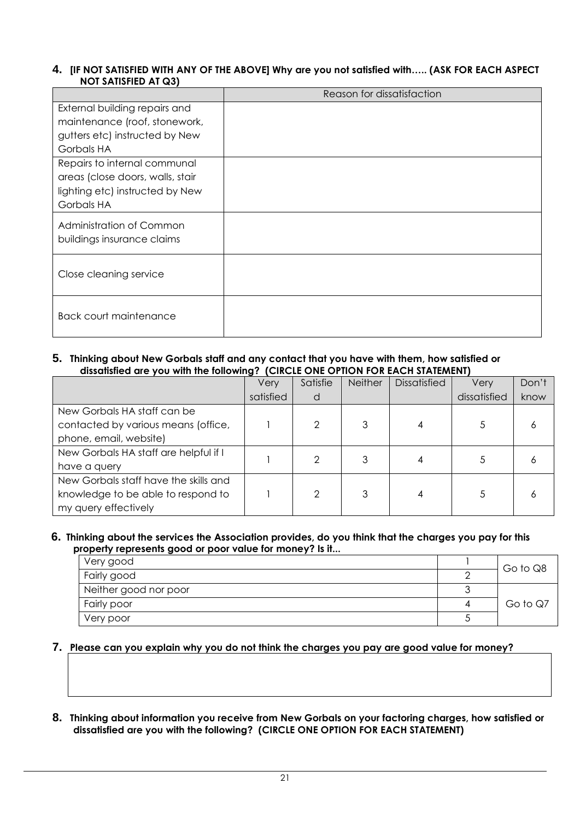#### **4. [IF NOT SATISFIED WITH ANY OF THE ABOVE] Why are you not satisfied with….. (ASK FOR EACH ASPECT NOT SATISFIED AT Q3)**

|                                  | Reason for dissatisfaction |
|----------------------------------|----------------------------|
| External building repairs and    |                            |
| maintenance (roof, stonework,    |                            |
| gutters etc) instructed by New   |                            |
| Gorbals HA                       |                            |
| Repairs to internal communal     |                            |
| areas (close doors, walls, stair |                            |
| lighting etc) instructed by New  |                            |
| Gorbals HA                       |                            |
| Administration of Common         |                            |
| buildings insurance claims       |                            |
|                                  |                            |
| Close cleaning service           |                            |
|                                  |                            |
|                                  |                            |
| <b>Back court maintenance</b>    |                            |
|                                  |                            |

#### **5. Thinking about New Gorbals staff and any contact that you have with them, how satisfied or dissatisfied are you with the following? (CIRCLE ONE OPTION FOR EACH STATEMENT)**

|                                       | Very      | Satisfie | <b>Neither</b> | <b>Dissatisfied</b> | Very         | Don't |
|---------------------------------------|-----------|----------|----------------|---------------------|--------------|-------|
|                                       | satisfied | d        |                |                     | dissatisfied | know  |
| New Gorbals HA staff can be           |           |          |                |                     |              |       |
| contacted by various means (office,   |           |          | 3              |                     |              | n     |
| phone, email, website)                |           |          |                |                     |              |       |
| New Gorbals HA staff are helpful if I |           |          |                |                     |              |       |
| have a query                          |           |          |                |                     |              |       |
| New Gorbals staff have the skills and |           |          |                |                     |              |       |
| knowledge to be able to respond to    |           | ◠        | 3              |                     |              | n     |
| my query effectively                  |           |          |                |                     |              |       |

#### **6. Thinking about the services the Association provides, do you think that the charges you pay for this property represents good or poor value for money? Is it...**

| Very good             |   | Go to Q8 |
|-----------------------|---|----------|
| Fairly good           |   |          |
| Neither good nor poor |   |          |
| Fairly poor           | 4 | Go to Q7 |
| Very poor             |   |          |

#### **7. Please can you explain why you do not think the charges you pay are good value for money?**

**8. Thinking about information you receive from New Gorbals on your factoring charges, how satisfied or dissatisfied are you with the following? (CIRCLE ONE OPTION FOR EACH STATEMENT)**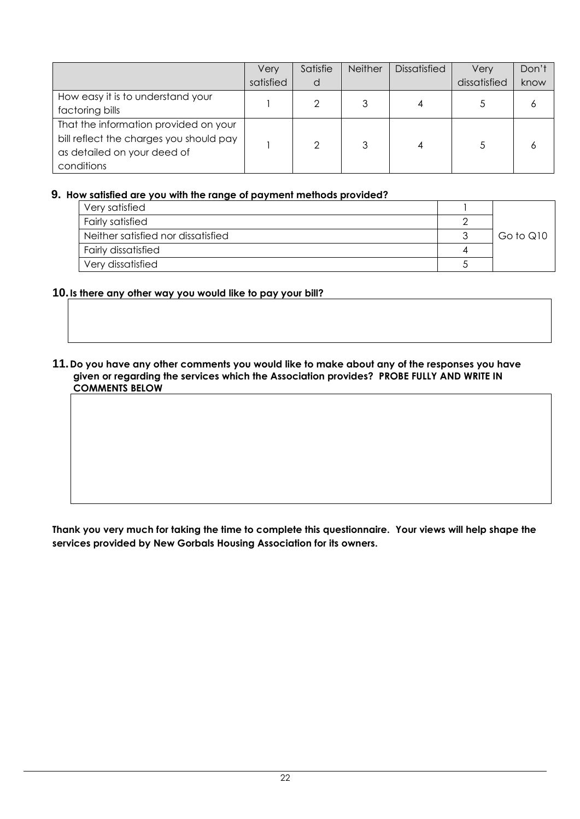|                                         | Very      | Satisfie | Neither | <b>Dissatisfied</b> | Verv         | Don't |
|-----------------------------------------|-----------|----------|---------|---------------------|--------------|-------|
|                                         | satisfied | d        |         |                     | dissatisfied | know  |
| How easy it is to understand your       |           |          |         | 4                   |              |       |
| factoring bills                         |           |          |         |                     |              | 6     |
| That the information provided on your   |           |          |         |                     |              |       |
| bill reflect the charges you should pay |           | ◠        |         | 4                   |              |       |
| as detailed on your deed of             |           |          |         |                     |              | Ô     |
| conditions                              |           |          |         |                     |              |       |

#### **9. How satisfied are you with the range of payment methods provided?**

| Very satisfied                     |  |           |  |
|------------------------------------|--|-----------|--|
| Fairly satisfied                   |  |           |  |
| Neither satisfied nor dissatisfied |  | Go to Q10 |  |
| <b>Fairly dissatisfied</b>         |  |           |  |
| Very dissatisfied                  |  |           |  |

#### **10.Is there any other way you would like to pay your bill?**

#### **11.Do you have any other comments you would like to make about any of the responses you have given or regarding the services which the Association provides? PROBE FULLY AND WRITE IN COMMENTS BELOW**

**Thank you very much for taking the time to complete this questionnaire. Your views will help shape the services provided by New Gorbals Housing Association for its owners.**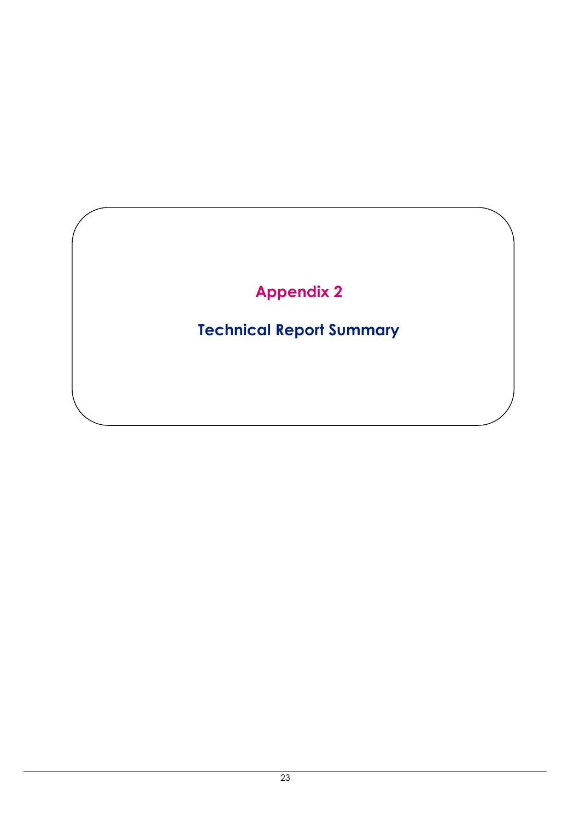### **Appendix 2**

### **Technical Report Summary**